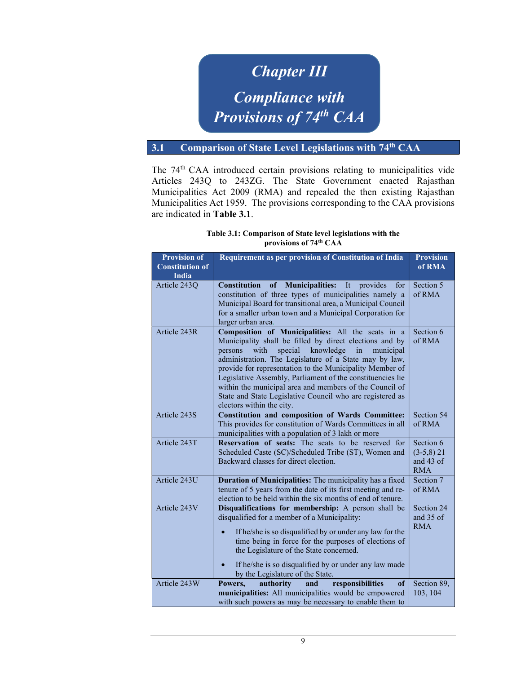## **3.1 Comparison of State Chapter III** and  $\blacksquare$ Compliance with Provisions of 74<sup>th</sup> CAA

## 3.1 Comparison of State Level Legislations with 74<sup>th</sup> CAA

The 74<sup>th</sup> CAA introduced certain provisions relating to municipalities vide Articles 243Q to 243ZG. The State Government enacted Rajasthan Municipalities Act 2009 (RMA) and repealed the then existing Rajasthan Municipalities Act 1959. The provisions corresponding to the CAA provisions are indicated in Table 3.1.

| Table 3.1: Comparison of State level legislations with the |
|------------------------------------------------------------|
| provisions of 74 <sup>th</sup> CAA                         |

| <b>Provision of</b>    | Requirement as per provision of Constitution of India                                                                                                                                                                                                                                                                                                                                                                                                                                                               | <b>Provision</b>                                       |
|------------------------|---------------------------------------------------------------------------------------------------------------------------------------------------------------------------------------------------------------------------------------------------------------------------------------------------------------------------------------------------------------------------------------------------------------------------------------------------------------------------------------------------------------------|--------------------------------------------------------|
| <b>Constitution of</b> |                                                                                                                                                                                                                                                                                                                                                                                                                                                                                                                     | of RMA                                                 |
| <b>India</b>           |                                                                                                                                                                                                                                                                                                                                                                                                                                                                                                                     |                                                        |
| Article 243Q           | <b>Constitution</b><br>of Municipalities:<br>It<br>provides<br>for<br>constitution of three types of municipalities namely a<br>Municipal Board for transitional area, a Municipal Council                                                                                                                                                                                                                                                                                                                          | Section 5<br>of RMA                                    |
|                        | for a smaller urban town and a Municipal Corporation for<br>larger urban area.                                                                                                                                                                                                                                                                                                                                                                                                                                      |                                                        |
| Article 243R           | Composition of Municipalities: All the seats in a<br>Municipality shall be filled by direct elections and by<br>knowledge<br>with<br>special<br>in<br>municipal<br>persons<br>administration. The Legislature of a State may by law,<br>provide for representation to the Municipality Member of<br>Legislative Assembly, Parliament of the constituencies lie<br>within the municipal area and members of the Council of<br>State and State Legislative Council who are registered as<br>electors within the city. | Section 6<br>of RMA                                    |
| Article 243S           | <b>Constitution and composition of Wards Committee:</b><br>This provides for constitution of Wards Committees in all<br>municipalities with a population of 3 lakh or more                                                                                                                                                                                                                                                                                                                                          | Section 54<br>of RMA                                   |
| Article 243T           | Reservation of seats: The seats to be reserved for<br>Scheduled Caste (SC)/Scheduled Tribe (ST), Women and<br>Backward classes for direct election.                                                                                                                                                                                                                                                                                                                                                                 | Section 6<br>$(3-5,8)$ 21<br>and $43$ of<br><b>RMA</b> |
| Article 243U           | Duration of Municipalities: The municipality has a fixed<br>tenure of 5 years from the date of its first meeting and re-<br>election to be held within the six months of end of tenure.                                                                                                                                                                                                                                                                                                                             | Section 7<br>of RMA                                    |
| Article 243V           | Disqualifications for membership: A person shall be<br>disqualified for a member of a Municipality:<br>If he/she is so disqualified by or under any law for the<br>time being in force for the purposes of elections of<br>the Legislature of the State concerned.<br>If he/she is so disqualified by or under any law made<br>$\bullet$<br>by the Legislature of the State.                                                                                                                                        | Section 24<br>and 35 of<br><b>RMA</b>                  |
| Article 243W           | of<br>Powers,<br>authority<br>responsibilities<br>and<br>municipalities: All municipalities would be empowered<br>with such powers as may be necessary to enable them to                                                                                                                                                                                                                                                                                                                                            | Section 89,<br>103, 104                                |